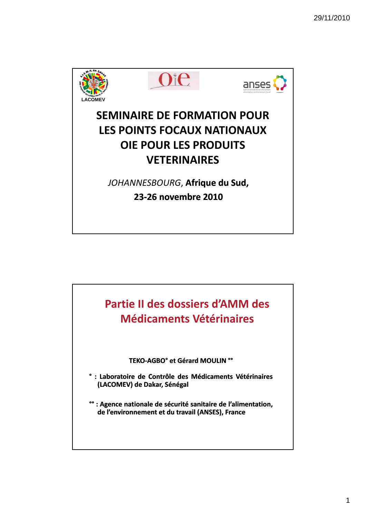

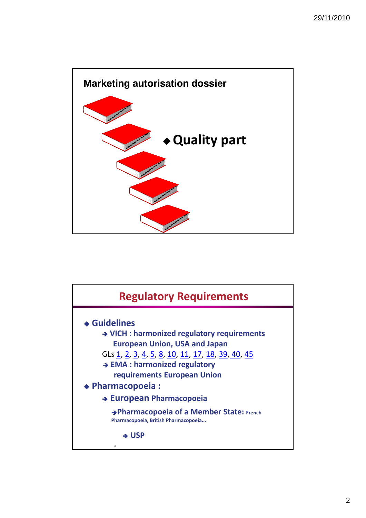

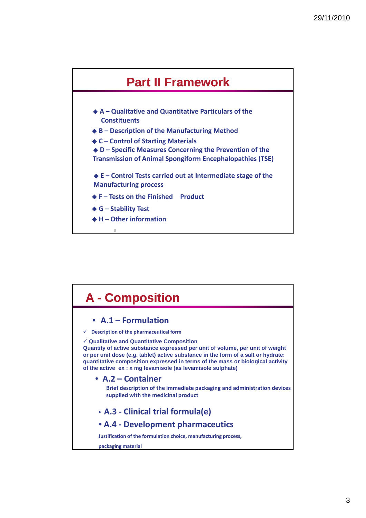

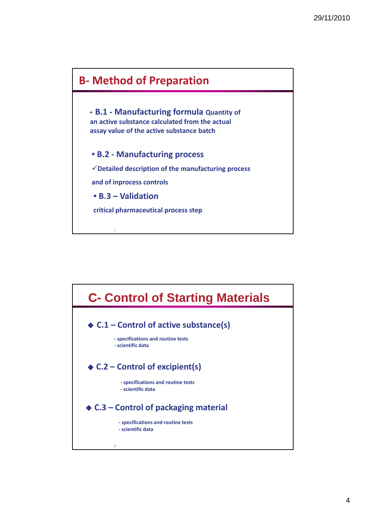

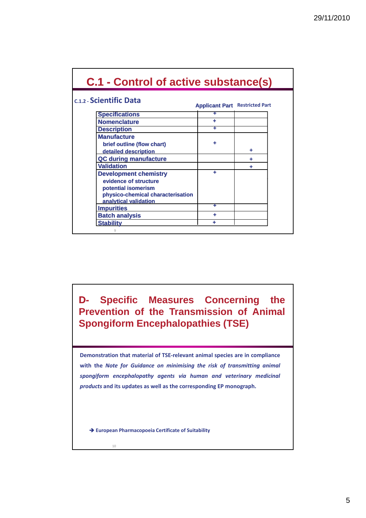| c.1.2 - Scientific Data                                                                                                                                         | <b>Applicant Part Restricted Part</b> |   |
|-----------------------------------------------------------------------------------------------------------------------------------------------------------------|---------------------------------------|---|
| <b>Specifications</b>                                                                                                                                           | ÷                                     |   |
| <b>Nomenclature</b>                                                                                                                                             | ٠                                     |   |
| <b>Description</b>                                                                                                                                              | ٠                                     |   |
| <b>Manufacture</b><br>brief outline (flow chart)                                                                                                                |                                       | ٠ |
| detailed description                                                                                                                                            |                                       |   |
| <b>QC during manufacture</b>                                                                                                                                    |                                       |   |
| <b>Validation</b><br><b>Development chemistry</b><br>evidence of structure<br>potential isomerism<br>physico-chemical characterisation<br>analytical validation | ٠                                     |   |
| <b>Impurities</b>                                                                                                                                               | ÷                                     |   |
| <b>Batch analysis</b>                                                                                                                                           | ۰                                     |   |
| <b>Stability</b>                                                                                                                                                | ٠                                     |   |

**D- Specific Measures Concerning the Prevention of the Transmission of Animal Spongiform Encephalopathies (TSE)**

**Demonstration that material of TSE‐relevant animal species are in compliance with the** *Note for Guidance on minimising the risk of transmitting animal spongiform encephalopathy agents via human and veterinary medicinal products* **and its updates as well as the corresponding EP monograph.**

**European Pharmacopoeia Certificate of Suitability**

10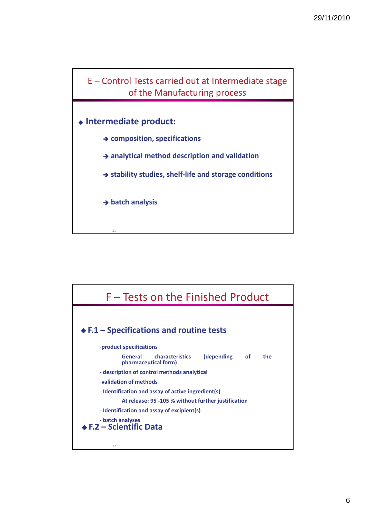

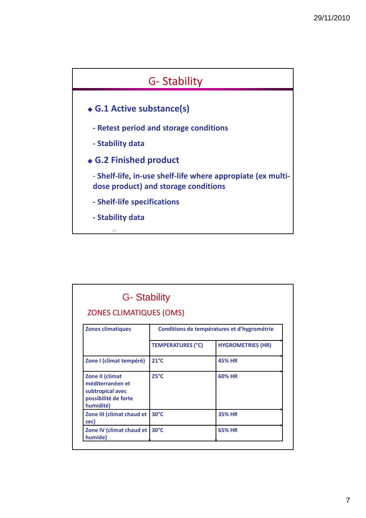

| <b>ZONES CLIMATIQUES (OMS)</b>                                                               |                                             |                          |
|----------------------------------------------------------------------------------------------|---------------------------------------------|--------------------------|
| <b>Zones climatiques</b>                                                                     | Conditions de températures et d'hygrométrie |                          |
|                                                                                              | <b>TEMPERATURES (°C)</b>                    | <b>HYGROMETRIES (HR)</b> |
| Zone I (climat tempéré)                                                                      | $21^{\circ}$ C                              | <b>45% HR</b>            |
| Zone II (climat<br>méditerranéen et<br>subtropical avec<br>possibilité de forte<br>humidité) | $25^{\circ}C$                               | <b>60% HR</b>            |
| Zone III (climat chaud et<br>sec)                                                            | $30^{\circ}$ C                              | <b>35% HR</b>            |
| Zone IV (climat chaud et<br>humide)                                                          | $30^{\circ}$ C                              | <b>65% HR</b>            |